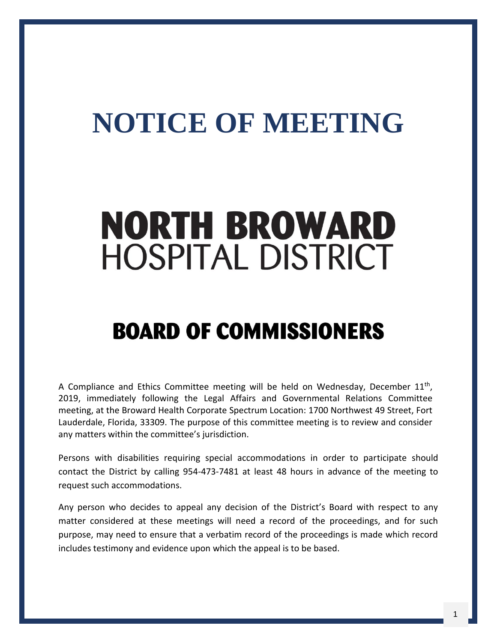## **NOTICE OF MEETING**

# **NORTH BROWARD HOSPITAL DISTRICT**

### **BOARD OF COMMISSIONERS**

A Compliance and Ethics Committee meeting will be held on Wednesday, December  $11<sup>th</sup>$ , 2019, immediately following the Legal Affairs and Governmental Relations Committee meeting, at the Broward Health Corporate Spectrum Location: 1700 Northwest 49 Street, Fort Lauderdale, Florida, 33309. The purpose of this committee meeting is to review and consider any matters within the committee's jurisdiction.

Persons with disabilities requiring special accommodations in order to participate should contact the District by calling 954-473-7481 at least 48 hours in advance of the meeting to request such accommodations.

Any person who decides to appeal any decision of the District's Board with respect to any matter considered at these meetings will need a record of the proceedings, and for such purpose, may need to ensure that a verbatim record of the proceedings is made which record includes testimony and evidence upon which the appeal is to be based.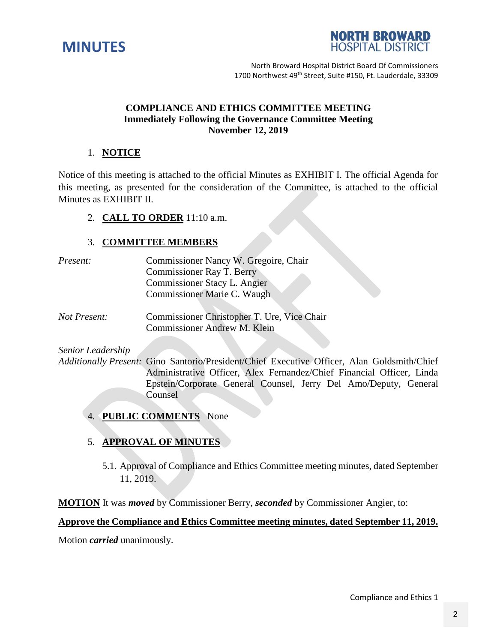



North Broward Hospital District Board Of Commissioners 1700 Northwest 49<sup>th</sup> Street, Suite #150, Ft. Lauderdale, 33309

#### **COMPLIANCE AND ETHICS COMMITTEE MEETING Immediately Following the Governance Committee Meeting November 12, 2019**

#### 1. **NOTICE**

Notice of this meeting is attached to the official Minutes as EXHIBIT I. The official Agenda for this meeting, as presented for the consideration of the Committee, is attached to the official Minutes as EXHIBIT II.

#### 2. **CALL TO ORDER** 11:10 a.m.

#### 3. **COMMITTEE MEMBERS**

| <i>Present:</i> | Commissioner Nancy W. Gregoire, Chair |
|-----------------|---------------------------------------|
|                 | Commissioner Ray T. Berry             |
|                 | Commissioner Stacy L. Angier          |
|                 | Commissioner Marie C. Waugh           |
|                 |                                       |

*Not Present:* Commissioner Christopher T. Ure, Vice Chair Commissioner Andrew M. Klein

*Senior Leadership*

*Additionally Present:* Gino Santorio/President/Chief Executive Officer, Alan Goldsmith/Chief Administrative Officer, Alex Fernandez/Chief Financial Officer, Linda Epstein/Corporate General Counsel, Jerry Del Amo/Deputy, General Counsel

4. **PUBLIC COMMENTS** None

#### 5. **APPROVAL OF MINUTES**

5.1. Approval of Compliance and Ethics Committee meeting minutes, dated September 11, 2019.

**MOTION** It was *moved* by Commissioner Berry, *seconded* by Commissioner Angier, to:

#### **Approve the Compliance and Ethics Committee meeting minutes, dated September 11, 2019.**

Motion *carried* unanimously.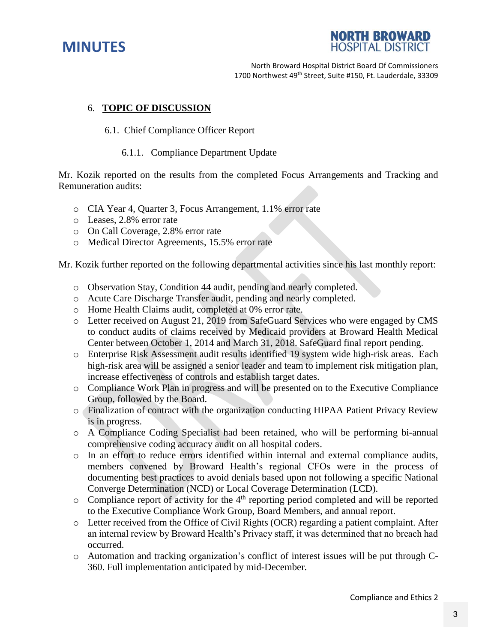



North Broward Hospital District Board Of Commissioners 1700 Northwest 49<sup>th</sup> Street, Suite #150, Ft. Lauderdale, 33309

#### 6. **TOPIC OF DISCUSSION**

#### 6.1. Chief Compliance Officer Report

#### 6.1.1. Compliance Department Update

Mr. Kozik reported on the results from the completed Focus Arrangements and Tracking and Remuneration audits:

- o CIA Year 4, Quarter 3, Focus Arrangement, 1.1% error rate
- o Leases, 2.8% error rate
- o On Call Coverage, 2.8% error rate
- o Medical Director Agreements, 15.5% error rate

Mr. Kozik further reported on the following departmental activities since his last monthly report:

- o Observation Stay, Condition 44 audit, pending and nearly completed.
- o Acute Care Discharge Transfer audit, pending and nearly completed.
- o Home Health Claims audit, completed at 0% error rate.
- o Letter received on August 21, 2019 from SafeGuard Services who were engaged by CMS to conduct audits of claims received by Medicaid providers at Broward Health Medical Center between October 1, 2014 and March 31, 2018. SafeGuard final report pending.
- o Enterprise Risk Assessment audit results identified 19 system wide high-risk areas. Each high-risk area will be assigned a senior leader and team to implement risk mitigation plan, increase effectiveness of controls and establish target dates.
- o Compliance Work Plan in progress and will be presented on to the Executive Compliance Group, followed by the Board.
- o Finalization of contract with the organization conducting HIPAA Patient Privacy Review is in progress.
- o A Compliance Coding Specialist had been retained, who will be performing bi-annual comprehensive coding accuracy audit on all hospital coders.
- o In an effort to reduce errors identified within internal and external compliance audits, members convened by Broward Health's regional CFOs were in the process of documenting best practices to avoid denials based upon not following a specific National Converge Determination (NCD) or Local Coverage Determination (LCD).
- $\circ$  Compliance report of activity for the 4<sup>th</sup> reporting period completed and will be reported to the Executive Compliance Work Group, Board Members, and annual report.
- o Letter received from the Office of Civil Rights (OCR) regarding a patient complaint. After an internal review by Broward Health's Privacy staff, it was determined that no breach had occurred.
- o Automation and tracking organization's conflict of interest issues will be put through C-360. Full implementation anticipated by mid-December.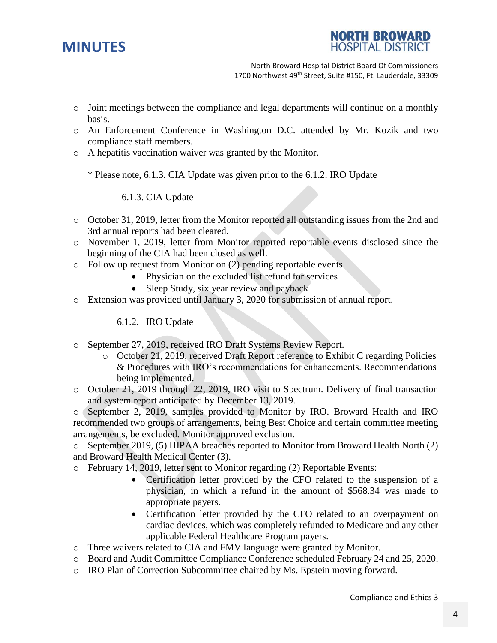

**NORTH BROWARD HOSPITAL DISTRICT** 

North Broward Hospital District Board Of Commissioners 1700 Northwest 49<sup>th</sup> Street, Suite #150, Ft. Lauderdale, 33309

- o Joint meetings between the compliance and legal departments will continue on a monthly basis.
- o An Enforcement Conference in Washington D.C. attended by Mr. Kozik and two compliance staff members.
- o A hepatitis vaccination waiver was granted by the Monitor.

\* Please note, 6.1.3. CIA Update was given prior to the 6.1.2. IRO Update

6.1.3. CIA Update

- o October 31, 2019, letter from the Monitor reported all outstanding issues from the 2nd and 3rd annual reports had been cleared.
- o November 1, 2019, letter from Monitor reported reportable events disclosed since the beginning of the CIA had been closed as well.
- o Follow up request from Monitor on (2) pending reportable events
	- Physician on the excluded list refund for services
	- Sleep Study, six year review and payback
- o Extension was provided until January 3, 2020 for submission of annual report.

6.1.2. IRO Update

- o September 27, 2019, received IRO Draft Systems Review Report.
	- o October 21, 2019, received Draft Report reference to Exhibit C regarding Policies & Procedures with IRO's recommendations for enhancements. Recommendations being implemented.
- o October 21, 2019 through 22, 2019, IRO visit to Spectrum. Delivery of final transaction and system report anticipated by December 13, 2019.

o September 2, 2019, samples provided to Monitor by IRO. Broward Health and IRO recommended two groups of arrangements, being Best Choice and certain committee meeting arrangements, be excluded. Monitor approved exclusion.

o September 2019, (5) HIPAA breaches reported to Monitor from Broward Health North (2) and Broward Health Medical Center (3).

- o February 14, 2019, letter sent to Monitor regarding (2) Reportable Events:
	- Certification letter provided by the CFO related to the suspension of a physician, in which a refund in the amount of \$568.34 was made to appropriate payers.
	- Certification letter provided by the CFO related to an overpayment on cardiac devices, which was completely refunded to Medicare and any other applicable Federal Healthcare Program payers.
- o Three waivers related to CIA and FMV language were granted by Monitor.
- o Board and Audit Committee Compliance Conference scheduled February 24 and 25, 2020.
- o IRO Plan of Correction Subcommittee chaired by Ms. Epstein moving forward.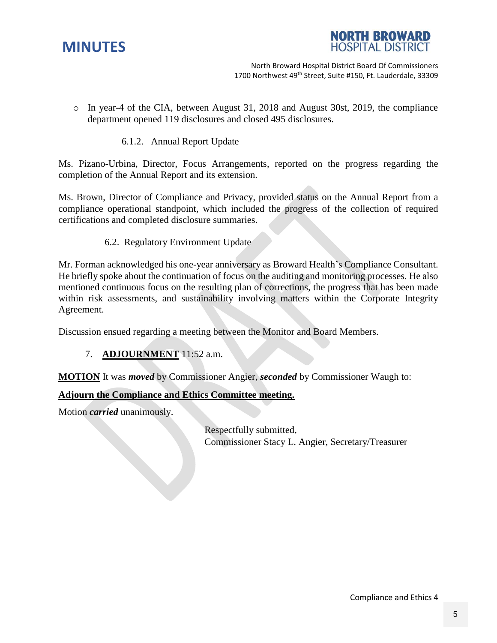



North Broward Hospital District Board Of Commissioners 1700 Northwest 49<sup>th</sup> Street, Suite #150, Ft. Lauderdale, 33309

- o In year-4 of the CIA, between August 31, 2018 and August 30st, 2019, the compliance department opened 119 disclosures and closed 495 disclosures.
	- 6.1.2. Annual Report Update

Ms. Pizano-Urbina, Director, Focus Arrangements, reported on the progress regarding the completion of the Annual Report and its extension.

Ms. Brown, Director of Compliance and Privacy, provided status on the Annual Report from a compliance operational standpoint, which included the progress of the collection of required certifications and completed disclosure summaries.

6.2. Regulatory Environment Update

Mr. Forman acknowledged his one-year anniversary as Broward Health's Compliance Consultant. He briefly spoke about the continuation of focus on the auditing and monitoring processes. He also mentioned continuous focus on the resulting plan of corrections, the progress that has been made within risk assessments, and sustainability involving matters within the Corporate Integrity Agreement.

Discussion ensued regarding a meeting between the Monitor and Board Members.

7. **ADJOURNMENT** 11:52 a.m.

**MOTION** It was *moved* by Commissioner Angier, *seconded* by Commissioner Waugh to:

#### **Adjourn the Compliance and Ethics Committee meeting.**

Motion *carried* unanimously.

Respectfully submitted, Commissioner Stacy L. Angier, Secretary/Treasurer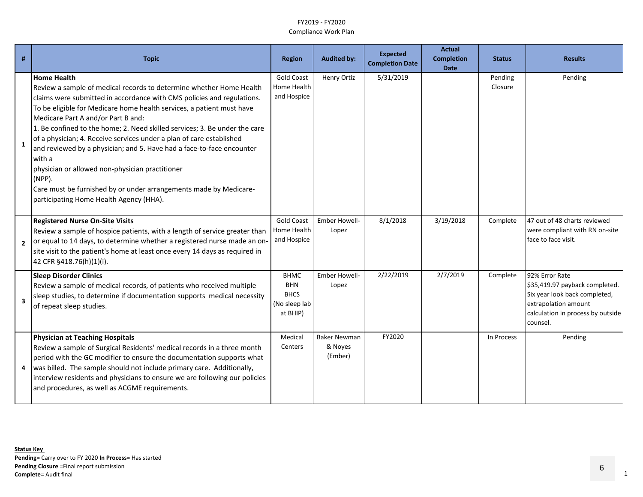| #                       | <b>Topic</b>                                                                                                                                                                                                                                                                                                                                                                                                                                                                                                                                                                                                                                                                                                | <b>Region</b>                                                         | <b>Audited by:</b>                        | <b>Expected</b><br><b>Completion Date</b> | <b>Actual</b><br><b>Completion</b><br><b>Date</b> | <b>Status</b>      | <b>Results</b>                                                                                                                                             |
|-------------------------|-------------------------------------------------------------------------------------------------------------------------------------------------------------------------------------------------------------------------------------------------------------------------------------------------------------------------------------------------------------------------------------------------------------------------------------------------------------------------------------------------------------------------------------------------------------------------------------------------------------------------------------------------------------------------------------------------------------|-----------------------------------------------------------------------|-------------------------------------------|-------------------------------------------|---------------------------------------------------|--------------------|------------------------------------------------------------------------------------------------------------------------------------------------------------|
| 1                       | <b>Home Health</b><br>Review a sample of medical records to determine whether Home Health<br>claims were submitted in accordance with CMS policies and regulations.<br>To be eligible for Medicare home health services, a patient must have<br>Medicare Part A and/or Part B and:<br>1. Be confined to the home; 2. Need skilled services; 3. Be under the care<br>of a physician; 4. Receive services under a plan of care established<br>and reviewed by a physician; and 5. Have had a face-to-face encounter<br>with a<br>physician or allowed non-physician practitioner<br>$(NPP)$ .<br>Care must be furnished by or under arrangements made by Medicare-<br>participating Home Health Agency (HHA). | <b>Gold Coast</b><br>Home Health<br>and Hospice                       | Henry Ortiz                               | 5/31/2019                                 |                                                   | Pending<br>Closure | Pending                                                                                                                                                    |
| $\overline{2}$          | <b>Registered Nurse On-Site Visits</b><br>Review a sample of hospice patients, with a length of service greater than<br>or equal to 14 days, to determine whether a registered nurse made an on-<br>site visit to the patient's home at least once every 14 days as required in<br>42 CFR §418.76(h)(1)(i).                                                                                                                                                                                                                                                                                                                                                                                                 | <b>Gold Coast</b><br>Home Health<br>and Hospice                       | Ember Howell-<br>Lopez                    | 8/1/2018                                  | 3/19/2018                                         | Complete           | 47 out of 48 charts reviewed<br>were compliant with RN on-site<br>face to face visit.                                                                      |
| $\overline{\mathbf{3}}$ | <b>Sleep Disorder Clinics</b><br>Review a sample of medical records, of patients who received multiple<br>sleep studies, to determine if documentation supports medical necessity<br>of repeat sleep studies.                                                                                                                                                                                                                                                                                                                                                                                                                                                                                               | <b>BHMC</b><br><b>BHN</b><br><b>BHCS</b><br>(No sleep lab<br>at BHIP) | <b>Ember Howell-</b><br>Lopez             | 2/22/2019                                 | 2/7/2019                                          | Complete           | 92% Error Rate<br>\$35,419.97 payback completed.<br>Six year look back completed,<br>extrapolation amount<br>calculation in process by outside<br>counsel. |
|                         | <b>Physician at Teaching Hospitals</b><br>Review a sample of Surgical Residents' medical records in a three month<br>period with the GC modifier to ensure the documentation supports what<br>was billed. The sample should not include primary care. Additionally,<br>interview residents and physicians to ensure we are following our policies<br>and procedures, as well as ACGME requirements.                                                                                                                                                                                                                                                                                                         | Medical<br>Centers                                                    | <b>Baker Newman</b><br>& Noyes<br>(Ember) | FY2020                                    |                                                   | In Process         | Pending                                                                                                                                                    |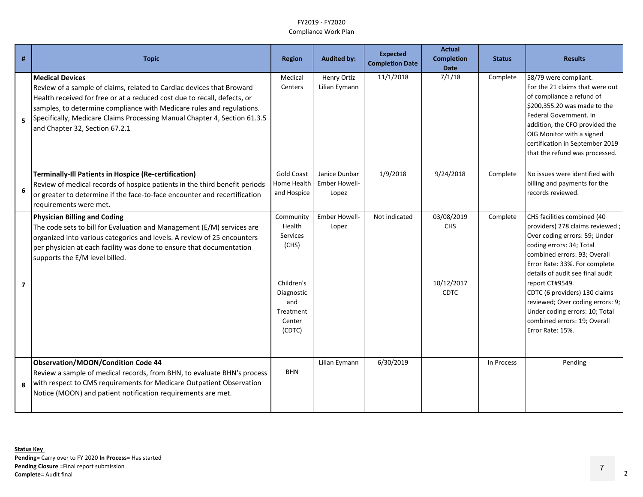| #              | <b>Topic</b>                                                                                                                                                                                                                                                                                                                                                 | <b>Region</b>                                                 | <b>Audited by:</b>                      | <b>Expected</b><br><b>Completion Date</b> | <b>Actual</b><br><b>Completion</b><br><b>Date</b> | <b>Status</b> | <b>Results</b>                                                                                                                                                                                                                                                                      |
|----------------|--------------------------------------------------------------------------------------------------------------------------------------------------------------------------------------------------------------------------------------------------------------------------------------------------------------------------------------------------------------|---------------------------------------------------------------|-----------------------------------------|-------------------------------------------|---------------------------------------------------|---------------|-------------------------------------------------------------------------------------------------------------------------------------------------------------------------------------------------------------------------------------------------------------------------------------|
| 5              | Medical Devices<br>Review of a sample of claims, related to Cardiac devices that Broward<br>Health received for free or at a reduced cost due to recall, defects, or<br>samples, to determine compliance with Medicare rules and regulations.<br>Specifically, Medicare Claims Processing Manual Chapter 4, Section 61.3.5<br>and Chapter 32, Section 67.2.1 | Medical<br>Centers                                            | Henry Ortiz<br>Lilian Eymann            | 11/1/2018                                 | 7/1/18                                            | Complete      | 58/79 were compliant.<br>For the 21 claims that were out<br>of compliance a refund of<br>\$200,355.20 was made to the<br>Federal Government. In<br>addition, the CFO provided the<br>OIG Monitor with a signed<br>certification in September 2019<br>that the refund was processed. |
| 6              | Terminally-Ill Patients in Hospice (Re-certification)<br>Review of medical records of hospice patients in the third benefit periods<br>or greater to determine if the face-to-face encounter and recertification<br>requirements were met.                                                                                                                   | <b>Gold Coast</b><br>Home Health<br>and Hospice               | Janice Dunbar<br>Ember Howell-<br>Lopez | 1/9/2018                                  | 9/24/2018                                         | Complete      | No issues were identified with<br>billing and payments for the<br>records reviewed.                                                                                                                                                                                                 |
| $\overline{7}$ | <b>Physician Billing and Coding</b><br>The code sets to bill for Evaluation and Management (E/M) services are<br>organized into various categories and levels. A review of 25 encounters<br>per physician at each facility was done to ensure that documentation<br>supports the E/M level billed.                                                           | Community<br>Health<br><b>Services</b><br>(CHS)<br>Children's | Ember Howell-<br>Lopez                  | Not indicated                             | 03/08/2019<br>CHS<br>10/12/2017                   | Complete      | CHS facilities combined (40<br>providers) 278 claims reviewed;<br>Over coding errors: 59; Under<br>coding errors: 34; Total<br>combined errors: 93; Overall<br>Error Rate: 33%. For complete<br>details of audit see final audit<br>report CT#9549.                                 |
|                |                                                                                                                                                                                                                                                                                                                                                              | Diagnostic<br>and<br>Treatment<br>Center<br>(CDTC)            |                                         |                                           | <b>CDTC</b>                                       |               | CDTC (6 providers) 130 claims<br>reviewed; Over coding errors: 9;<br>Under coding errors: 10; Total<br>combined errors: 19; Overall<br>Error Rate: 15%.                                                                                                                             |
| 8              | Observation/MOON/Condition Code 44<br>Review a sample of medical records, from BHN, to evaluate BHN's process<br>with respect to CMS requirements for Medicare Outpatient Observation<br>Notice (MOON) and patient notification requirements are met.                                                                                                        | <b>BHN</b>                                                    | Lilian Eymann                           | 6/30/2019                                 |                                                   | In Process    | Pending                                                                                                                                                                                                                                                                             |

7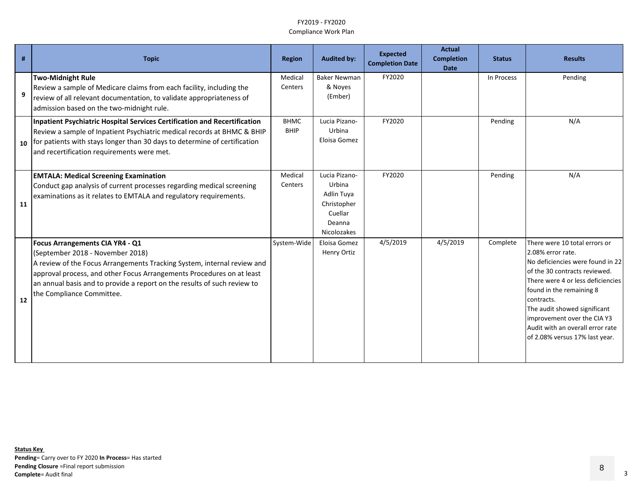| #  | <b>Topic</b>                                                                                                                                                                                                                                                                                                                     | <b>Region</b>              | <b>Audited by:</b>                                                                       | <b>Expected</b><br><b>Completion Date</b> | <b>Actual</b><br><b>Completion</b><br><b>Date</b> | <b>Status</b> | <b>Results</b>                                                                                                                                                                                                                                                                                                                              |
|----|----------------------------------------------------------------------------------------------------------------------------------------------------------------------------------------------------------------------------------------------------------------------------------------------------------------------------------|----------------------------|------------------------------------------------------------------------------------------|-------------------------------------------|---------------------------------------------------|---------------|---------------------------------------------------------------------------------------------------------------------------------------------------------------------------------------------------------------------------------------------------------------------------------------------------------------------------------------------|
| 9  | <b>Two-Midnight Rule</b><br>Review a sample of Medicare claims from each facility, including the<br>review of all relevant documentation, to validate appropriateness of<br>admission based on the two-midnight rule.                                                                                                            | Medical<br>Centers         | <b>Baker Newman</b><br>& Noyes<br>(Ember)                                                | FY2020                                    |                                                   | In Process    | Pending                                                                                                                                                                                                                                                                                                                                     |
| 10 | Inpatient Psychiatric Hospital Services Certification and Recertification<br>Review a sample of Inpatient Psychiatric medical records at BHMC & BHIP<br>for patients with stays longer than 30 days to determine of certification<br>and recertification requirements were met.                                                  | <b>BHMC</b><br><b>BHIP</b> | Lucia Pizano-<br>Urbina<br>Eloisa Gomez                                                  | FY2020                                    |                                                   | Pending       | N/A                                                                                                                                                                                                                                                                                                                                         |
| 11 | <b>EMTALA: Medical Screening Examination</b><br>Conduct gap analysis of current processes regarding medical screening<br>examinations as it relates to EMTALA and regulatory requirements.                                                                                                                                       | Medical<br>Centers         | Lucia Pizano-<br>Urbina<br>Adlin Tuya<br>Christopher<br>Cuellar<br>Deanna<br>Nicolozakes | FY2020                                    |                                                   | Pending       | N/A                                                                                                                                                                                                                                                                                                                                         |
| 12 | Focus Arrangements CIA YR4 - Q1<br>(September 2018 - November 2018)<br>A review of the Focus Arrangements Tracking System, internal review and<br>approval process, and other Focus Arrangements Procedures on at least<br>an annual basis and to provide a report on the results of such review to<br>the Compliance Committee. | System-Wide                | Eloisa Gomez<br>Henry Ortiz                                                              | 4/5/2019                                  | 4/5/2019                                          | Complete      | There were 10 total errors or<br>2.08% error rate.<br>No deficiencies were found in 22<br>of the 30 contracts reviewed.<br>There were 4 or less deficiencies<br>found in the remaining 8<br>contracts.<br>The audit showed significant<br>improvement over the CIA Y3<br>Audit with an overall error rate<br>of 2.08% versus 17% last year. |

8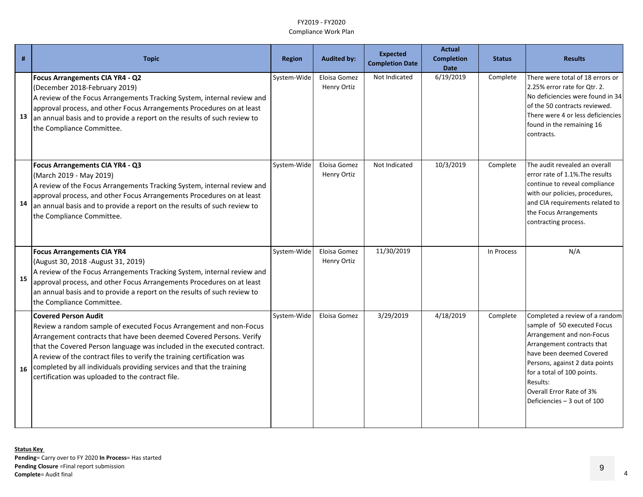|    | <b>Topic</b>                                                                                                                                                                                                                                                                                                                                                                                                                                                | <b>Region</b> | <b>Audited by:</b>          | <b>Expected</b><br><b>Completion Date</b> | <b>Actual</b><br><b>Completion</b><br><b>Date</b> | <b>Status</b> | <b>Results</b>                                                                                                                                                                                                                                                                              |
|----|-------------------------------------------------------------------------------------------------------------------------------------------------------------------------------------------------------------------------------------------------------------------------------------------------------------------------------------------------------------------------------------------------------------------------------------------------------------|---------------|-----------------------------|-------------------------------------------|---------------------------------------------------|---------------|---------------------------------------------------------------------------------------------------------------------------------------------------------------------------------------------------------------------------------------------------------------------------------------------|
| 13 | Focus Arrangements CIA YR4 - Q2<br>(December 2018-February 2019)<br>A review of the Focus Arrangements Tracking System, internal review and<br>approval process, and other Focus Arrangements Procedures on at least<br>an annual basis and to provide a report on the results of such review to<br>the Compliance Committee.                                                                                                                               | System-Wide   | Eloisa Gomez<br>Henry Ortiz | Not Indicated                             | 6/19/2019                                         | Complete      | There were total of 18 errors or<br>2.25% error rate for Qtr. 2.<br>No deficiencies were found in 34<br>of the 50 contracts reviewed.<br>There were 4 or less deficiencies<br>found in the remaining 16<br>contracts.                                                                       |
| 14 | Focus Arrangements CIA YR4 - Q3<br>(March 2019 - May 2019)<br>A review of the Focus Arrangements Tracking System, internal review and<br>approval process, and other Focus Arrangements Procedures on at least<br>an annual basis and to provide a report on the results of such review to<br>the Compliance Committee.                                                                                                                                     | System-Wide   | Eloisa Gomez<br>Henry Ortiz | Not Indicated                             | 10/3/2019                                         | Complete      | The audit revealed an overall<br>error rate of 1.1%. The results<br>continue to reveal compliance<br>with our policies, procedures,<br>and CIA requirements related to<br>the Focus Arrangements<br>contracting process.                                                                    |
| 15 | <b>Focus Arrangements CIA YR4</b><br>(August 30, 2018 - August 31, 2019)<br>A review of the Focus Arrangements Tracking System, internal review and<br>approval process, and other Focus Arrangements Procedures on at least<br>an annual basis and to provide a report on the results of such review to<br>the Compliance Committee.                                                                                                                       | System-Wide   | Eloisa Gomez<br>Henry Ortiz | 11/30/2019                                |                                                   | In Process    | N/A                                                                                                                                                                                                                                                                                         |
| 16 | <b>Covered Person Audit</b><br>Review a random sample of executed Focus Arrangement and non-Focus<br>Arrangement contracts that have been deemed Covered Persons. Verify<br>that the Covered Person language was included in the executed contract.<br>A review of the contract files to verify the training certification was<br>completed by all individuals providing services and that the training<br>certification was uploaded to the contract file. | System-Wide   | Eloisa Gomez                | 3/29/2019                                 | 4/18/2019                                         | Complete      | Completed a review of a random<br>sample of 50 executed Focus<br>Arrangement and non-Focus<br>Arrangement contracts that<br>have been deemed Covered<br>Persons, against 2 data points<br>for a total of 100 points.<br>Results:<br>Overall Error Rate of 3%<br>Deficiencies - 3 out of 100 |

9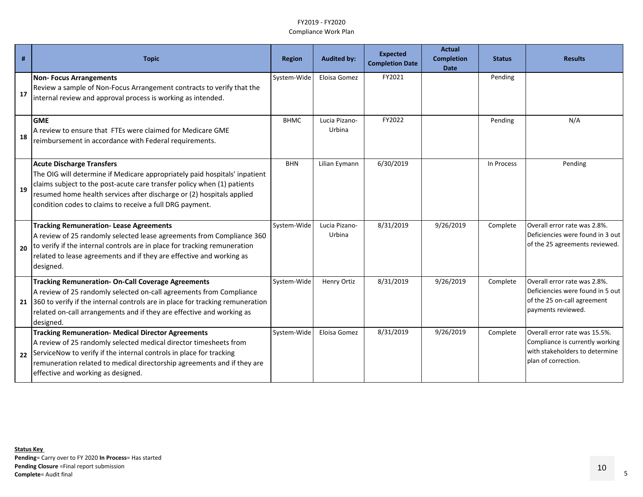| #  | <b>Topic</b>                                                                                                                                                                                                                                                                                                                   | <b>Region</b> | <b>Audited by:</b>      | <b>Expected</b><br><b>Completion Date</b> | <b>Actual</b><br><b>Completion</b><br><b>Date</b> | <b>Status</b> | <b>Results</b>                                                                                                            |
|----|--------------------------------------------------------------------------------------------------------------------------------------------------------------------------------------------------------------------------------------------------------------------------------------------------------------------------------|---------------|-------------------------|-------------------------------------------|---------------------------------------------------|---------------|---------------------------------------------------------------------------------------------------------------------------|
| 17 | <b>Non-Focus Arrangements</b><br>Review a sample of Non-Focus Arrangement contracts to verify that the<br>internal review and approval process is working as intended.                                                                                                                                                         | System-Wide   | Eloisa Gomez            | FY2021                                    |                                                   | Pending       |                                                                                                                           |
| 18 | <b>GME</b><br>A review to ensure that FTEs were claimed for Medicare GME<br>reimbursement in accordance with Federal requirements.                                                                                                                                                                                             | <b>BHMC</b>   | Lucia Pizano-<br>Urbina | FY2022                                    |                                                   | Pending       | N/A                                                                                                                       |
| 19 | <b>Acute Discharge Transfers</b><br>The OIG will determine if Medicare appropriately paid hospitals' inpatient<br>claims subject to the post-acute care transfer policy when (1) patients<br>resumed home health services after discharge or (2) hospitals applied<br>condition codes to claims to receive a full DRG payment. | <b>BHN</b>    | Lilian Eymann           | 6/30/2019                                 |                                                   | In Process    | Pending                                                                                                                   |
| 20 | <b>Tracking Remuneration-Lease Agreements</b><br>A review of 25 randomly selected lease agreements from Compliance 360<br>to verify if the internal controls are in place for tracking remuneration<br>related to lease agreements and if they are effective and working as<br>designed.                                       | System-Wide   | Lucia Pizano-<br>Urbina | 8/31/2019                                 | 9/26/2019                                         | Complete      | Overall error rate was 2.8%.<br>Deficiencies were found in 3 out<br>of the 25 agreements reviewed.                        |
|    | <b>Tracking Remuneration- On-Call Coverage Agreements</b><br>A review of 25 randomly selected on-call agreements from Compliance<br>21 360 to verify if the internal controls are in place for tracking remuneration<br>related on-call arrangements and if they are effective and working as<br>designed.                     | System-Wide   | Henry Ortiz             | 8/31/2019                                 | 9/26/2019                                         | Complete      | Overall error rate was 2.8%.<br>Deficiencies were found in 5 out<br>of the 25 on-call agreement<br>payments reviewed.     |
|    | <b>Tracking Remuneration- Medical Director Agreements</b><br>A review of 25 randomly selected medical director timesheets from<br>22 ServiceNow to verify if the internal controls in place for tracking<br>remuneration related to medical directorship agreements and if they are<br>effective and working as designed.      | System-Wide   | Eloisa Gomez            | 8/31/2019                                 | 9/26/2019                                         | Complete      | Overall error rate was 15.5%.<br>Compliance is currently working<br>with stakeholders to determine<br>plan of correction. |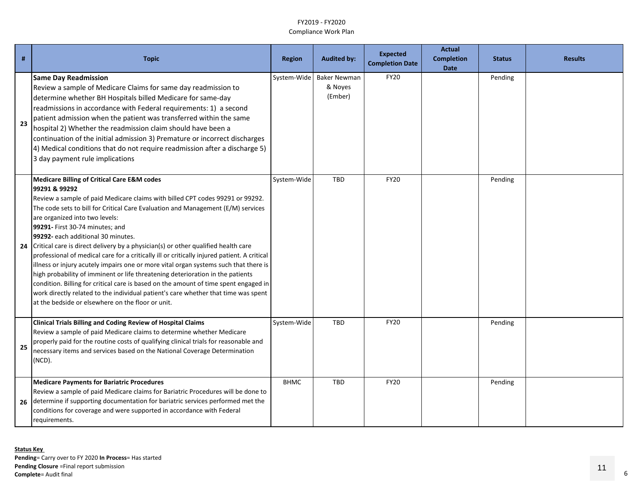| #  | <b>Topic</b>                                                                                                                                                                                                                                                                                                                                                                                                                                                                                                                                                                                                                                                                                                                                                                                                                                                                                                                                             | <b>Region</b> | <b>Audited by:</b>                        | <b>Expected</b><br><b>Completion Date</b> | <b>Actual</b><br><b>Completion</b><br><b>Date</b> | <b>Status</b> | <b>Results</b> |
|----|----------------------------------------------------------------------------------------------------------------------------------------------------------------------------------------------------------------------------------------------------------------------------------------------------------------------------------------------------------------------------------------------------------------------------------------------------------------------------------------------------------------------------------------------------------------------------------------------------------------------------------------------------------------------------------------------------------------------------------------------------------------------------------------------------------------------------------------------------------------------------------------------------------------------------------------------------------|---------------|-------------------------------------------|-------------------------------------------|---------------------------------------------------|---------------|----------------|
| 23 | <b>Same Day Readmission</b><br>Review a sample of Medicare Claims for same day readmission to<br>determine whether BH Hospitals billed Medicare for same-day<br>readmissions in accordance with Federal requirements: 1) a second<br>patient admission when the patient was transferred within the same<br>hospital 2) Whether the readmission claim should have been a<br>continuation of the initial admission 3) Premature or incorrect discharges<br>4) Medical conditions that do not require readmission after a discharge 5)<br>3 day payment rule implications                                                                                                                                                                                                                                                                                                                                                                                   | System-Wide   | <b>Baker Newman</b><br>& Noyes<br>(Ember) | <b>FY20</b>                               |                                                   | Pending       |                |
| 24 | <b>Medicare Billing of Critical Care E&amp;M codes</b><br>99291 & 99292<br>Review a sample of paid Medicare claims with billed CPT codes 99291 or 99292.<br>The code sets to bill for Critical Care Evaluation and Management (E/M) services<br>are organized into two levels:<br>99291- First 30-74 minutes; and<br>99292- each additional 30 minutes.<br>Critical care is direct delivery by a physician(s) or other qualified health care<br>professional of medical care for a critically ill or critically injured patient. A critical<br>illness or injury acutely impairs one or more vital organ systems such that there is<br>high probability of imminent or life threatening deterioration in the patients<br>condition. Billing for critical care is based on the amount of time spent engaged in<br>work directly related to the individual patient's care whether that time was spent<br>at the bedside or elsewhere on the floor or unit. | System-Wide   | <b>TBD</b>                                | <b>FY20</b>                               |                                                   | Pending       |                |
| 25 | <b>Clinical Trials Billing and Coding Review of Hospital Claims</b><br>Review a sample of paid Medicare claims to determine whether Medicare<br>properly paid for the routine costs of qualifying clinical trials for reasonable and<br>necessary items and services based on the National Coverage Determination<br>$(NCD)$ .                                                                                                                                                                                                                                                                                                                                                                                                                                                                                                                                                                                                                           | System-Wide   | <b>TBD</b>                                | <b>FY20</b>                               |                                                   | Pending       |                |
| 26 | <b>Medicare Payments for Bariatric Procedures</b><br>Review a sample of paid Medicare claims for Bariatric Procedures will be done to<br>determine if supporting documentation for bariatric services performed met the<br>conditions for coverage and were supported in accordance with Federal<br>requirements.                                                                                                                                                                                                                                                                                                                                                                                                                                                                                                                                                                                                                                        | <b>BHMC</b>   | <b>TBD</b>                                | <b>FY20</b>                               |                                                   | Pending       |                |